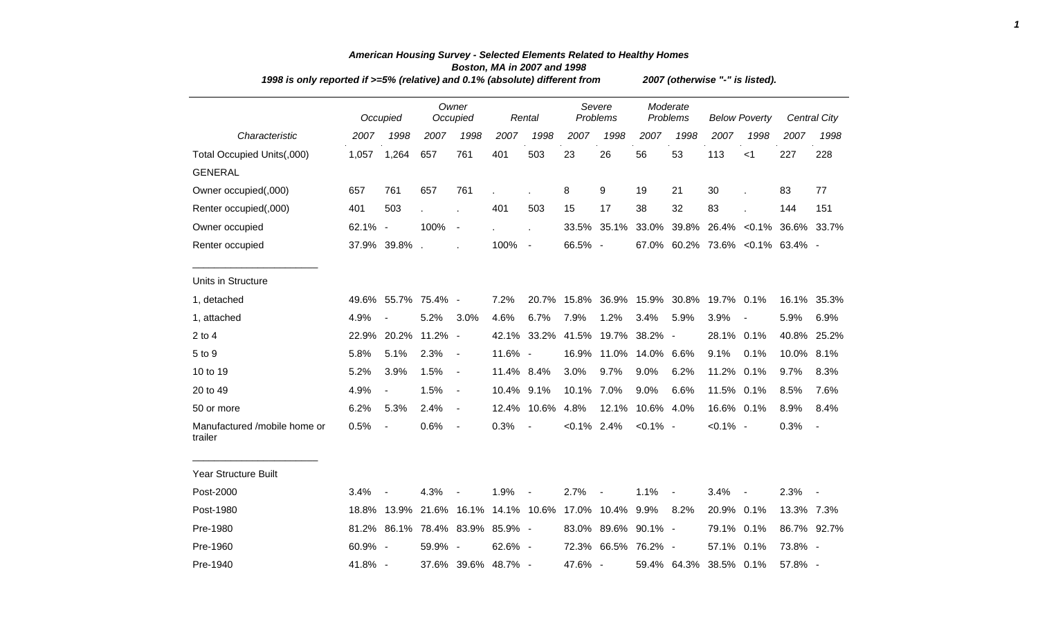| 1998 is only reported if >=5% (relative) and 0.1% (absolute) different from |          |                          |            |                               |         |                |                | 2007 (otherwise "-" is listed). |             |                      |                      |                          |                                  |                          |  |  |
|-----------------------------------------------------------------------------|----------|--------------------------|------------|-------------------------------|---------|----------------|----------------|---------------------------------|-------------|----------------------|----------------------|--------------------------|----------------------------------|--------------------------|--|--|
|                                                                             | Occupied |                          |            | Owner<br>Occupied             |         | Rental         |                | Severe<br>Problems              |             | Moderate<br>Problems | <b>Below Poverty</b> |                          |                                  | Central City             |  |  |
| Characteristic                                                              | 2007     | 1998                     | 2007       | 1998                          | 2007    | 1998           | 2007           | 1998                            | 2007        | 1998                 | 2007                 | 1998                     | 2007                             | 1998                     |  |  |
| Total Occupied Units(,000)                                                  | 1,057    | 1,264                    | 657        | 761                           | 401     | 503            | 23             | 26                              | 56          | 53                   | 113                  | $<$ 1                    | 227                              | 228                      |  |  |
| <b>GENERAL</b>                                                              |          |                          |            |                               |         |                |                |                                 |             |                      |                      |                          |                                  |                          |  |  |
| Owner occupied(,000)                                                        | 657      | 761                      | 657        | 761                           |         |                | 8              | 9                               | 19          | 21                   | 30                   |                          | 83                               | 77                       |  |  |
| Renter occupied(,000)                                                       | 401      | 503                      |            | $\overline{a}$                | 401     | 503            | 15             | 17                              | 38          | 32                   | 83                   |                          | 144                              | 151                      |  |  |
| Owner occupied                                                              | 62.1% -  |                          | 100%       | $\overline{\phantom{a}}$      |         | ÷,             |                | 33.5% 35.1%                     | 33.0%       | 39.8%                |                      |                          | 26.4% < 0.1% 36.6% 33.7%         |                          |  |  |
| Renter occupied                                                             |          | 37.9% 39.8%.             |            |                               | 100%    | $\sim$         | 66.5% -        |                                 |             |                      |                      |                          | 67.0% 60.2% 73.6% < 0.1% 63.4% - |                          |  |  |
| Units in Structure                                                          |          |                          |            |                               |         |                |                |                                 |             |                      |                      |                          |                                  |                          |  |  |
| 1, detached                                                                 |          | 49.6% 55.7% 75.4% -      |            |                               | 7.2%    | 20.7%          |                | 15.8% 36.9%                     | 15.9%       | 30.8%                | 19.7% 0.1%           |                          |                                  | 16.1% 35.3%              |  |  |
| 1, attached                                                                 | 4.9%     |                          | 5.2%       | 3.0%                          | 4.6%    | 6.7%           | 7.9%           | 1.2%                            | 3.4%        | 5.9%                 | 3.9%                 |                          | 5.9%                             | 6.9%                     |  |  |
| $2$ to $4$                                                                  | 22.9%    | 20.2%                    | $11.2\%$ - |                               | 42.1%   | 33.2%          | 41.5%          | 19.7%                           | 38.2% -     |                      | 28.1%                | 0.1%                     | 40.8% 25.2%                      |                          |  |  |
| 5 to 9                                                                      | 5.8%     | 5.1%                     | 2.3%       | $\overline{\phantom{a}}$      | 11.6% - |                | 16.9%          | 11.0%                           | 14.0%       | 6.6%                 | 9.1%                 | 0.1%                     | 10.0% 8.1%                       |                          |  |  |
| 10 to 19                                                                    | 5.2%     | 3.9%                     | 1.5%       | $\blacksquare$                | 11.4%   | 8.4%           | 3.0%           | 9.7%                            | 9.0%        | 6.2%                 | 11.2% 0.1%           |                          | 9.7%                             | 8.3%                     |  |  |
| 20 to 49                                                                    | 4.9%     | $\overline{\phantom{a}}$ | 1.5%       | $\blacksquare$                | 10.4%   | 9.1%           | 10.1% 7.0%     |                                 | 9.0%        | 6.6%                 | 11.5% 0.1%           |                          | 8.5%                             | 7.6%                     |  |  |
| 50 or more                                                                  | 6.2%     | 5.3%                     | 2.4%       | $\blacksquare$                | 12.4%   | 10.6%          | 4.8%           | 12.1%                           | 10.6% 4.0%  |                      | 16.6% 0.1%           |                          | 8.9%                             | 8.4%                     |  |  |
| Manufactured /mobile home or<br>trailer                                     | 0.5%     | $\overline{\phantom{a}}$ | 0.6%       | $\blacksquare$                | 0.3%    | $\blacksquare$ | $< 0.1\%$ 2.4% |                                 | $< 0.1\%$ - |                      | $< 0.1\%$ -          |                          | 0.3%                             | $\blacksquare$           |  |  |
| Year Structure Built                                                        |          |                          |            |                               |         |                |                |                                 |             |                      |                      |                          |                                  |                          |  |  |
| Post-2000                                                                   | 3.4%     |                          | 4.3%       |                               | 1.9%    |                | 2.7%           | $\blacksquare$                  | 1.1%        | $\blacksquare$       | 3.4%                 | $\overline{\phantom{a}}$ | 2.3%                             | $\overline{\phantom{a}}$ |  |  |
| Post-1980                                                                   | 18.8%    |                          |            | 13.9% 21.6% 16.1% 14.1% 10.6% |         |                |                | 17.0% 10.4%                     | 9.9%        | 8.2%                 | 20.9%                | 0.1%                     | 13.3% 7.3%                       |                          |  |  |
| Pre-1980                                                                    | 81.2%    |                          |            | 86.1% 78.4% 83.9% 85.9% -     |         |                |                | 83.0% 89.6%                     | $90.1\%$ -  |                      | 79.1%                | 0.1%                     |                                  | 86.7% 92.7%              |  |  |
| Pre-1960                                                                    | 60.9% -  |                          | 59.9% -    |                               | 62.6% - |                |                | 72.3% 66.5% 76.2% -             |             |                      | 57.1% 0.1%           |                          | 73.8% -                          |                          |  |  |
| Pre-1940                                                                    | 41.8% -  |                          |            | 37.6% 39.6% 48.7% -           |         |                | 47.6% -        |                                 |             | 59.4% 64.3%          | 38.5% 0.1%           |                          | 57.8% -                          |                          |  |  |

## *American Housing Survey - Selected Elements Related to Healthy Homes Boston, MA in 2007 and 1998*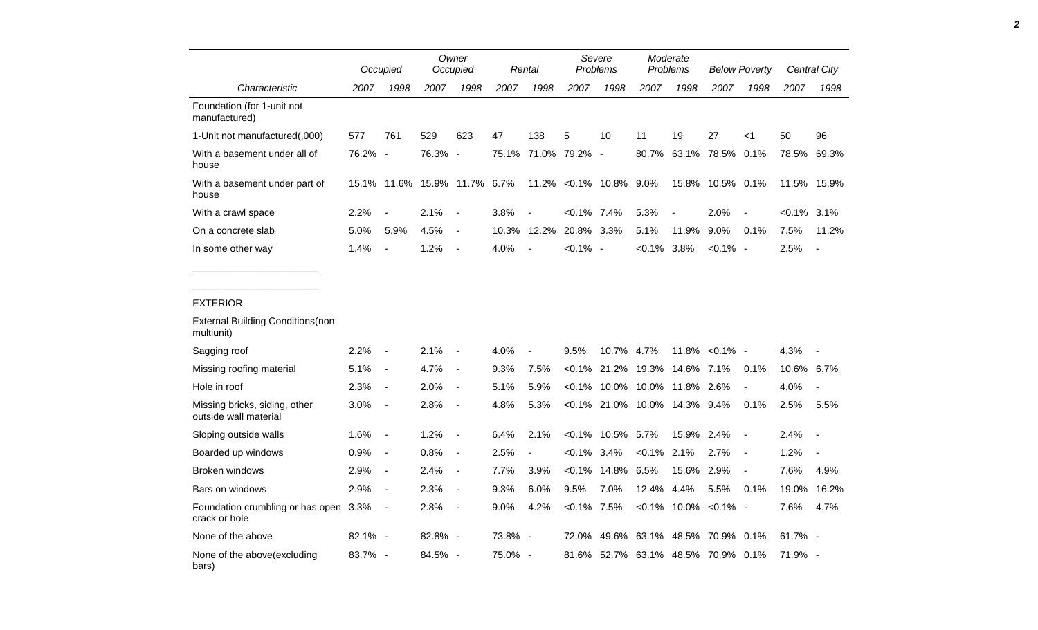|                                                        | Occupied |                          |       | Owner<br>Occupied        |       | Rental                   |                | Severe<br>Problems       | Moderate<br>Problems         |            | <b>Below Poverty</b>        |                          | Central City   |                          |
|--------------------------------------------------------|----------|--------------------------|-------|--------------------------|-------|--------------------------|----------------|--------------------------|------------------------------|------------|-----------------------------|--------------------------|----------------|--------------------------|
| Characteristic                                         | 2007     | 1998                     | 2007  | 1998                     | 2007  | 1998                     | 2007           | 1998                     | 2007                         | 1998       | 2007                        | 1998                     | 2007           | 1998                     |
| Foundation (for 1-unit not<br>manufactured)            |          |                          |       |                          |       |                          |                |                          |                              |            |                             |                          |                |                          |
| 1-Unit not manufactured(,000)                          | 577      | 761                      | 529   | 623                      | 47    | 138                      | 5              | 10                       | 11                           | 19         | 27                          | <1                       | 50             | 96                       |
| With a basement under all of<br>house                  | 76.2%    | $\sim$                   | 76.3% | $\blacksquare$           | 75.1% |                          | 71.0% 79.2%    | $\overline{\phantom{a}}$ | 80.7%                        |            | 63.1% 78.5%                 | 0.1%                     | 78.5%          | 69.3%                    |
| With a basement under part of<br>house                 |          | 15.1% 11.6%              | 15.9% | 11.7%                    | 6.7%  | 11.2%                    |                | $< 0.1\%$ 10.8%          | $9.0\%$                      | 15.8%      | 10.5% 0.1%                  |                          |                | 11.5% 15.9%              |
| With a crawl space                                     | 2.2%     |                          | 2.1%  | $\overline{\phantom{a}}$ | 3.8%  |                          | $< 0.1\%$ 7.4% |                          | 5.3%                         |            | 2.0%                        |                          | $< 0.1\%$ 3.1% |                          |
| On a concrete slab                                     | 5.0%     | 5.9%                     | 4.5%  | $\overline{\phantom{a}}$ | 10.3% | 12.2%                    | 20.8% 3.3%     |                          | 5.1%                         | 11.9%      | 9.0%                        | 0.1%                     | 7.5%           | 11.2%                    |
| In some other way                                      | 1.4%     | $\blacksquare$           | 1.2%  | $\overline{\phantom{a}}$ | 4.0%  |                          | $< 0.1\%$ -    |                          | $< 0.1\%$                    | 3.8%       | $< 0.1\%$ -                 |                          | 2.5%           | $\overline{\phantom{a}}$ |
| <b>EXTERIOR</b>                                        |          |                          |       |                          |       |                          |                |                          |                              |            |                             |                          |                |                          |
| <b>External Building Conditions (non</b><br>multiunit) |          |                          |       |                          |       |                          |                |                          |                              |            |                             |                          |                |                          |
| Sagging roof                                           | 2.2%     | $\overline{\phantom{a}}$ | 2.1%  |                          | 4.0%  |                          | 9.5%           | 10.7%                    | 4.7%                         | 11.8%      | $< 0.1\%$ -                 |                          | 4.3%           |                          |
| Missing roofing material                               | 5.1%     | $\blacksquare$           | 4.7%  | $\overline{\phantom{a}}$ | 9.3%  | 7.5%                     | $< 0.1\%$      | 21.2%                    | 19.3%                        | 14.6% 7.1% |                             | 0.1%                     | 10.6%          | $6.7\%$                  |
| Hole in roof                                           | 2.3%     | $\blacksquare$           | 2.0%  | $\overline{a}$           | 5.1%  | 5.9%                     | $< 0.1\%$      | 10.0%                    | 10.0%                        | 11.8% 2.6% |                             | $\overline{a}$           | 4.0%           |                          |
| Missing bricks, siding, other<br>outside wall material | 3.0%     | $\overline{\phantom{a}}$ | 2.8%  | $\overline{\phantom{a}}$ | 4.8%  | 5.3%                     |                |                          | <0.1% 21.0% 10.0% 14.3% 9.4% |            |                             | 0.1%                     | 2.5%           | 5.5%                     |
| Sloping outside walls                                  | 1.6%     | $\overline{\phantom{a}}$ | 1.2%  | $\overline{\phantom{a}}$ | 6.4%  | 2.1%                     | $< 0.1\%$      | 10.5%                    | 5.7%                         | 15.9%      | 2.4%                        | $\blacksquare$           | 2.4%           | $\blacksquare$           |
| Boarded up windows                                     | 0.9%     | $\overline{a}$           | 0.8%  | $\blacksquare$           | 2.5%  | $\blacksquare$           | $< 0.1\%$ 3.4% |                          | $< 0.1\%$ 2.1%               |            | 2.7%                        | $\overline{\phantom{a}}$ | 1.2%           |                          |
| Broken windows                                         | 2.9%     | $\overline{a}$           | 2.4%  | $\overline{a}$           | 7.7%  | 3.9%                     | $< 0.1\%$      | 14.8%                    | 6.5%                         | 15.6%      | 2.9%                        | $\blacksquare$           | 7.6%           | 4.9%                     |
| Bars on windows                                        | 2.9%     | $\overline{\phantom{a}}$ | 2.3%  | $\overline{a}$           | 9.3%  | 6.0%                     | 9.5%           | 7.0%                     | 12.4%                        | 4.4%       | 5.5%                        | 0.1%                     | 19.0%          | 16.2%                    |
| Foundation crumbling or has open 3.3%<br>crack or hole |          | $\blacksquare$           | 2.8%  | $\overline{\phantom{a}}$ | 9.0%  | 4.2%                     | $< 0.1\%$ 7.5% |                          |                              |            | $< 0.1\%$ 10.0% $< 0.1\%$ - |                          | 7.6%           | 4.7%                     |
| None of the above                                      | 82.1% -  |                          | 82.8% | $\overline{\phantom{a}}$ | 73.8% | $\overline{\phantom{a}}$ | 72.0%          | 49.6%                    | 63.1%                        |            | 48.5% 70.9% 0.1%            |                          | 61.7% -        |                          |
| None of the above(excluding<br>bars)                   | 83.7% -  |                          | 84.5% | $\sim$                   | 75.0% | $\sim$                   | 81.6%          | 52.7%                    |                              |            | 63.1% 48.5% 70.9% 0.1%      |                          | 71.9% -        |                          |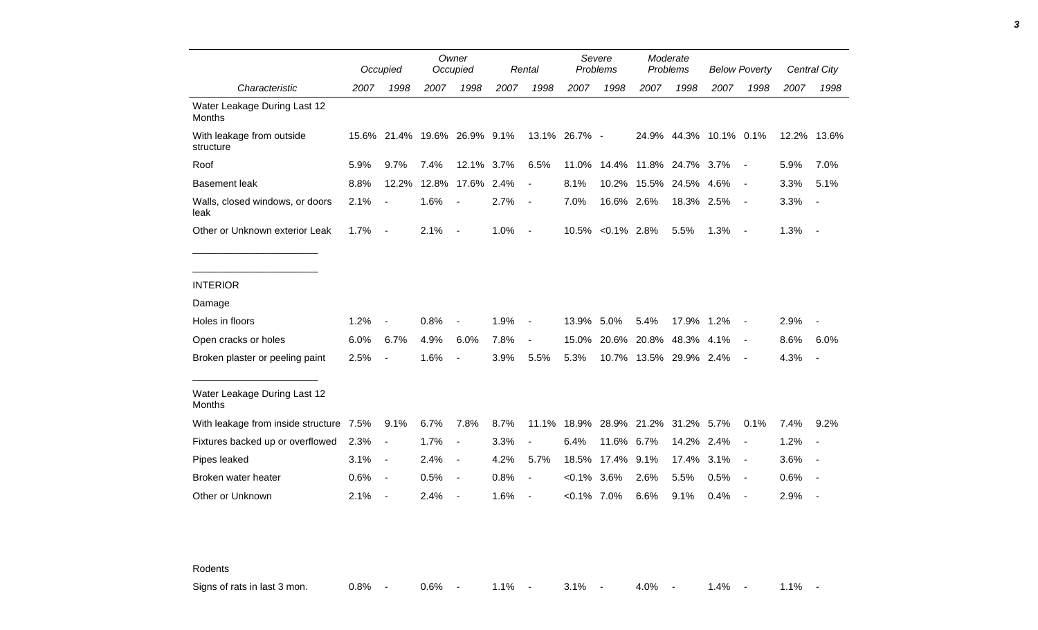|                                               | Occupied |                          |                              | Owner<br>Rental<br>Occupied |      |                          |                | Severe<br>Problems |                                    | Moderate<br>Problems |                        | <b>Below Poverty</b>     | Central City |                          |
|-----------------------------------------------|----------|--------------------------|------------------------------|-----------------------------|------|--------------------------|----------------|--------------------|------------------------------------|----------------------|------------------------|--------------------------|--------------|--------------------------|
| Characteristic                                | 2007     | 1998                     | 2007                         | 1998                        | 2007 | 1998                     | 2007           | 1998               | 2007                               | 1998                 | 2007                   | 1998                     | 2007         | 1998                     |
| Water Leakage During Last 12<br>Months        |          |                          |                              |                             |      |                          |                |                    |                                    |                      |                        |                          |              |                          |
| With leakage from outside<br>structure        |          |                          | 15.6% 21.4% 19.6% 26.9% 9.1% |                             |      |                          | 13.1% 26.7% -  |                    |                                    |                      | 24.9% 44.3% 10.1% 0.1% |                          | 12.2% 13.6%  |                          |
| Roof                                          | 5.9%     | 9.7%                     | 7.4%                         | 12.1% 3.7%                  |      | 6.5%                     | 11.0%          |                    | 14.4% 11.8% 24.7% 3.7%             |                      |                        | $\sim$                   | 5.9%         | 7.0%                     |
| <b>Basement leak</b>                          | 8.8%     | 12.2%                    | 12.8%                        | 17.6% 2.4%                  |      | $\overline{\phantom{a}}$ | 8.1%           |                    | 10.2% 15.5%                        | 24.5% 4.6%           |                        | $\overline{\phantom{a}}$ | 3.3%         | 5.1%                     |
| Walls, closed windows, or doors<br>leak       | 2.1%     | $\overline{\phantom{a}}$ | 1.6%                         | $\blacksquare$              | 2.7% | $\overline{a}$           | 7.0%           | 16.6% 2.6%         |                                    | 18.3% 2.5%           |                        | $\sim$ $-$               | 3.3%         | $\sim$                   |
| Other or Unknown exterior Leak                | 1.7%     | $\sim$ $-$               | 2.1%                         | $\overline{\phantom{a}}$    | 1.0% | $\overline{\phantom{a}}$ |                | 10.5% < 0.1% 2.8%  |                                    | 5.5%                 | 1.3%                   | $\sim$                   | 1.3%         | $\sim$ $-$               |
|                                               |          |                          |                              |                             |      |                          |                |                    |                                    |                      |                        |                          |              |                          |
| <b>INTERIOR</b>                               |          |                          |                              |                             |      |                          |                |                    |                                    |                      |                        |                          |              |                          |
| Damage                                        |          |                          |                              |                             |      |                          |                |                    |                                    |                      |                        |                          |              |                          |
| Holes in floors                               | 1.2%     | $\blacksquare$           | 0.8%                         | $\overline{\phantom{a}}$    | 1.9% | $\overline{\phantom{a}}$ | 13.9% 5.0%     |                    | 5.4%                               | 17.9% 1.2%           |                        | $\overline{\phantom{a}}$ | 2.9%         |                          |
| Open cracks or holes                          | 6.0%     | 6.7%                     | 4.9%                         | 6.0%                        | 7.8% | $\overline{\phantom{a}}$ | 15.0%          | 20.6%              |                                    | 20.8% 48.3% 4.1%     |                        | $\blacksquare$           | 8.6%         | 6.0%                     |
| Broken plaster or peeling paint               | 2.5%     | $\blacksquare$           | 1.6%                         | $\overline{a}$              | 3.9% | 5.5%                     | 5.3%           |                    | 10.7% 13.5% 29.9% 2.4%             |                      |                        | $\overline{\phantom{a}}$ | 4.3%         | $\sim$                   |
| Water Leakage During Last 12<br><b>Months</b> |          |                          |                              |                             |      |                          |                |                    |                                    |                      |                        |                          |              |                          |
| With leakage from inside structure 7.5%       |          | 9.1%                     | 6.7%                         | 7.8%                        | 8.7% |                          |                |                    | 11.1% 18.9% 28.9% 21.2% 31.2% 5.7% |                      |                        | 0.1%                     | 7.4%         | 9.2%                     |
| Fixtures backed up or overflowed              | 2.3%     | $\overline{\phantom{a}}$ | 1.7%                         | $\overline{\phantom{a}}$    | 3.3% | $\overline{a}$           | 6.4%           | 11.6%              | 6.7%                               | 14.2%                | 2.4%                   |                          | 1.2%         | $\overline{\phantom{a}}$ |
| Pipes leaked                                  | 3.1%     | $\sim$                   | 2.4%                         | $\overline{\phantom{a}}$    | 4.2% | 5.7%                     | 18.5%          | 17.4%              | 9.1%                               | 17.4%                | 3.1%                   | $\overline{\phantom{a}}$ | 3.6%         | $\overline{\phantom{a}}$ |
| Broken water heater                           | 0.6%     | $\sim$ $-$               | 0.5%                         | $\overline{\phantom{a}}$    | 0.8% | $\blacksquare$           | $< 0.1\%$      | 3.6%               | 2.6%                               | 5.5%                 | 0.5%                   | $\sim$                   | 0.6%         | $\sim$                   |
| Other or Unknown                              | 2.1%     | $\overline{\phantom{a}}$ | 2.4%                         | $\overline{\phantom{a}}$    | 1.6% |                          | $< 0.1\%$ 7.0% |                    | 6.6%                               | 9.1%                 | 0.4%                   |                          | 2.9%         | $\overline{\phantom{a}}$ |

Rodents

Signs of rats in last 3 mon. <br>
0.8% - 0.6% - 1.1% - 3.1% - 4.0% - 1.4% - 1.1% -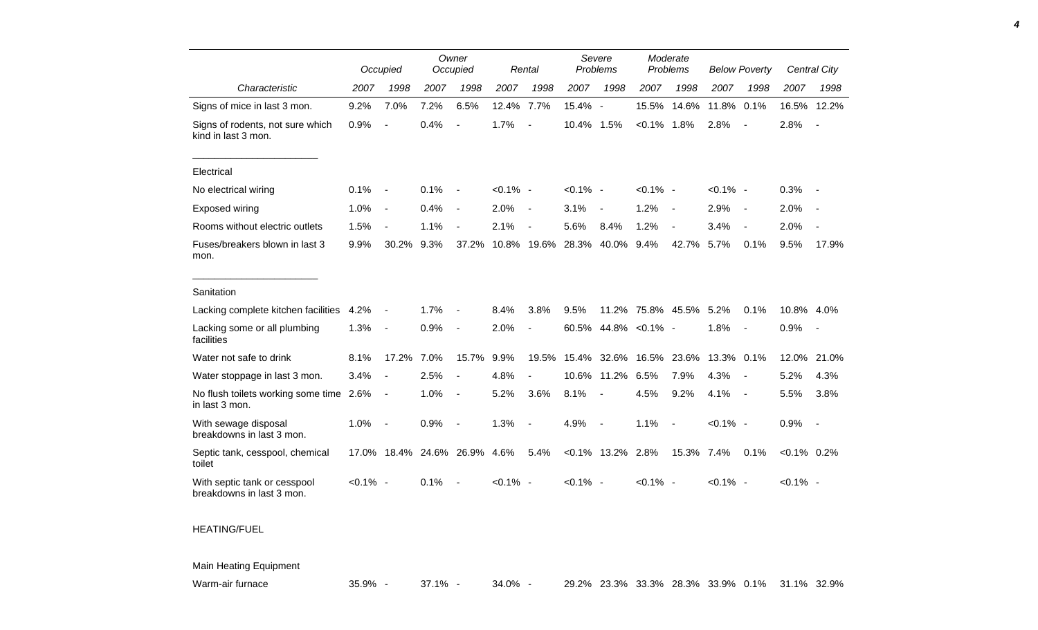|                                                           |             | Occupied                 | Owner<br>Occupied       |                          |             | Rental                   |                   | Severe<br>Problems       |             | Moderate<br>Problems     | <b>Below Poverty</b> |                          |                | Central City             |
|-----------------------------------------------------------|-------------|--------------------------|-------------------------|--------------------------|-------------|--------------------------|-------------------|--------------------------|-------------|--------------------------|----------------------|--------------------------|----------------|--------------------------|
| Characteristic                                            | 2007        | 1998                     | 2007                    | 1998                     | 2007        | 1998                     | 2007              | 1998                     | 2007        | 1998                     | 2007                 | 1998                     | 2007           | 1998                     |
| Signs of mice in last 3 mon.                              | 9.2%        | 7.0%                     | 7.2%                    | 6.5%                     | 12.4%       | 7.7%                     | 15.4% -           |                          | 15.5%       | 14.6%                    | 11.8%                | 0.1%                     | 16.5%          | 12.2%                    |
| Signs of rodents, not sure which<br>kind in last 3 mon.   | 0.9%        | $\overline{a}$           | 0.4%                    | $\overline{a}$           | 1.7%        |                          | 10.4%             | 1.5%                     | $< 0.1\%$   | 1.8%                     | 2.8%                 | $\blacksquare$           | 2.8%           | $\blacksquare$           |
| Electrical                                                |             |                          |                         |                          |             |                          |                   |                          |             |                          |                      |                          |                |                          |
| No electrical wiring                                      | 0.1%        | $\overline{\phantom{a}}$ | 0.1%                    | $\blacksquare$           | $< 0.1\%$ - |                          | $< 0.1\%$ -       |                          | $< 0.1\%$ - |                          | $< 0.1\%$ -          |                          | 0.3%           |                          |
| Exposed wiring                                            | 1.0%        | $\overline{\phantom{a}}$ | 0.4%                    | $\blacksquare$           | 2.0%        | $\overline{\phantom{a}}$ | 3.1%              | $\overline{\phantom{a}}$ | 1.2%        | $\overline{\phantom{a}}$ | 2.9%                 | $\blacksquare$           | 2.0%           |                          |
| Rooms without electric outlets                            | 1.5%        | $\overline{a}$           | 1.1%                    | $\overline{\phantom{a}}$ | 2.1%        | $\overline{\phantom{a}}$ | 5.6%              | 8.4%                     | 1.2%        | $\blacksquare$           | 3.4%                 | $\blacksquare$           | 2.0%           |                          |
| Fuses/breakers blown in last 3<br>mon.                    | 9.9%        | 30.2%                    | 9.3%                    | 37.2%                    |             |                          | 10.8% 19.6% 28.3% | 40.0%                    | 9.4%        | 42.7%                    | 5.7%                 | 0.1%                     | 9.5%           | 17.9%                    |
| Sanitation                                                |             |                          |                         |                          |             |                          |                   |                          |             |                          |                      |                          |                |                          |
| Lacking complete kitchen facilities                       | 4.2%        | $\overline{a}$           | 1.7%                    |                          | 8.4%        | 3.8%                     | 9.5%              |                          |             | 11.2% 75.8% 45.5%        | 5.2%                 | 0.1%                     | 10.8% 4.0%     |                          |
| Lacking some or all plumbing<br>facilities                | 1.3%        | $\overline{\phantom{a}}$ | 0.9%                    | $\overline{\phantom{a}}$ | 2.0%        |                          |                   | 60.5% 44.8% < 0.1% -     |             |                          | 1.8%                 | $\blacksquare$           | 0.9%           | $\overline{\phantom{a}}$ |
| Water not safe to drink                                   | 8.1%        | 17.2%                    | 7.0%                    | 15.7%                    | 9.9%        | 19.5%                    |                   | 15.4% 32.6%              | 16.5%       | 23.6%                    | 13.3%                | 0.1%                     | 12.0%          | 21.0%                    |
| Water stoppage in last 3 mon.                             | 3.4%        | $\overline{a}$           | 2.5%                    | $\blacksquare$           | 4.8%        |                          | 10.6%             | 11.2%                    | 6.5%        | 7.9%                     | 4.3%                 | $\overline{a}$           | 5.2%           | 4.3%                     |
| No flush toilets working some time 2.6%<br>in last 3 mon. |             | $\overline{\phantom{a}}$ | 1.0%                    | $\overline{\phantom{a}}$ | 5.2%        | 3.6%                     | 8.1%              |                          | 4.5%        | 9.2%                     | 4.1%                 | $\overline{\phantom{a}}$ | 5.5%           | 3.8%                     |
| With sewage disposal<br>breakdowns in last 3 mon.         | 1.0%        |                          | 0.9%                    | $\overline{\phantom{a}}$ | 1.3%        |                          | 4.9%              | $\blacksquare$           | 1.1%        | $\blacksquare$           | $< 0.1\%$ -          |                          | 0.9%           | $\blacksquare$           |
| Septic tank, cesspool, chemical<br>toilet                 |             |                          | 17.0% 18.4% 24.6% 26.9% |                          | 4.6%        | 5.4%                     |                   | $< 0.1\%$ 13.2% 2.8%     |             | 15.3% 7.4%               |                      | 0.1%                     | $< 0.1\%$ 0.2% |                          |
| With septic tank or cesspool<br>breakdowns in last 3 mon. | $< 0.1\%$ - |                          | 0.1%                    |                          | $< 0.1\%$ - |                          | $< 0.1\%$ -       |                          | $< 0.1\%$ - |                          | $< 0.1\%$ -          |                          | $< 0.1\%$ -    |                          |

*4*

## HEATING/FUEL

## Main Heating Equipment

| Warm-air furnace<br>35.9% | .1%<br>$\cdot$ . | 34.0% | 29.2% | $23.3\%$ |  |  |  |  | 。33.3% 28.3% 33.9% 0.1%  31.1% | 32.9% |
|---------------------------|------------------|-------|-------|----------|--|--|--|--|--------------------------------|-------|
|---------------------------|------------------|-------|-------|----------|--|--|--|--|--------------------------------|-------|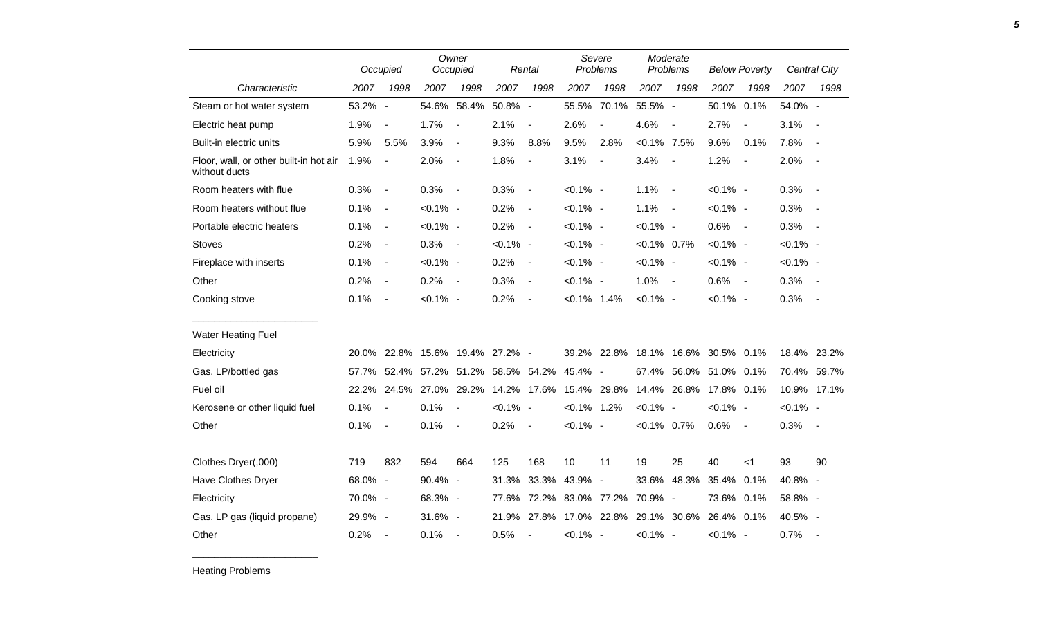|                                                         |         | Occupied                 | Owner<br>Occupied |                           | Rental      |                          | Severe<br>Problems |                          | Moderate<br>Problems |                          | <b>Below Poverty</b> |                          |             | <b>Central City</b> |
|---------------------------------------------------------|---------|--------------------------|-------------------|---------------------------|-------------|--------------------------|--------------------|--------------------------|----------------------|--------------------------|----------------------|--------------------------|-------------|---------------------|
| Characteristic                                          | 2007    | 1998                     | 2007              | 1998                      | 2007        | 1998                     | 2007               | 1998                     | 2007                 | 1998                     | 2007                 | 1998                     | 2007        | 1998                |
| Steam or hot water system                               | 53.2%   | $\overline{\phantom{a}}$ |                   | 54.6% 58.4%               | 50.8% -     |                          | 55.5%              | 70.1%                    | 55.5% -              |                          | 50.1%                | 0.1%                     | 54.0% -     |                     |
| Electric heat pump                                      | 1.9%    | $\overline{\phantom{a}}$ | 1.7%              | $\overline{a}$            | 2.1%        | $\overline{a}$           | 2.6%               | $\overline{a}$           | 4.6%                 | $\overline{\phantom{a}}$ | 2.7%                 | $\overline{\phantom{a}}$ | 3.1%        |                     |
| Built-in electric units                                 | 5.9%    | 5.5%                     | 3.9%              | $\overline{\phantom{a}}$  | 9.3%        | 8.8%                     | 9.5%               | 2.8%                     | $< 0.1\%$ 7.5%       |                          | 9.6%                 | 0.1%                     | 7.8%        |                     |
| Floor, wall, or other built-in hot air<br>without ducts | 1.9%    | $\overline{a}$           | 2.0%              | $\blacksquare$            | 1.8%        | $\blacksquare$           | 3.1%               | $\overline{\phantom{a}}$ | 3.4%                 | $\overline{\phantom{a}}$ | 1.2%                 | $\blacksquare$           | 2.0%        |                     |
| Room heaters with flue                                  | 0.3%    | $\overline{\phantom{a}}$ | 0.3%              | $\blacksquare$            | 0.3%        | $\overline{\phantom{a}}$ | $< 0.1\%$ -        |                          | 1.1%                 | $\overline{\phantom{a}}$ | $< 0.1\%$ -          |                          | 0.3%        |                     |
| Room heaters without flue                               | 0.1%    | $\overline{\phantom{a}}$ | $< 0.1\%$ -       |                           | 0.2%        | $\overline{\phantom{a}}$ | $< 0.1\%$ -        |                          | 1.1%                 | $\sim$                   | $< 0.1\%$ -          |                          | 0.3%        | $\sim$              |
| Portable electric heaters                               | 0.1%    | $\overline{\phantom{a}}$ | $< 0.1\%$ -       |                           | 0.2%        | $\overline{\phantom{a}}$ | $< 0.1\%$ -        |                          | $< 0.1\%$ -          |                          | 0.6%                 | $\sim$                   | 0.3%        | $\sim$              |
| <b>Stoves</b>                                           | 0.2%    | $\overline{\phantom{a}}$ | 0.3%              | $\overline{\phantom{a}}$  | $< 0.1\%$ - |                          | $< 0.1\%$ -        |                          | $< 0.1\%$ 0.7%       |                          | $< 0.1\%$ -          |                          | $< 0.1\%$ - |                     |
| Fireplace with inserts                                  | 0.1%    | $\overline{\phantom{a}}$ | $< 0.1\%$ -       |                           | 0.2%        | $\blacksquare$           | $< 0.1\%$ -        |                          | $< 0.1\%$ -          |                          | $< 0.1\%$ -          |                          | $< 0.1\%$ - |                     |
| Other                                                   | 0.2%    | $\overline{\phantom{a}}$ | 0.2%              | $\overline{\phantom{a}}$  | 0.3%        | $\overline{\phantom{a}}$ | $< 0.1\%$ -        |                          | 1.0%                 | $\overline{\phantom{a}}$ | 0.6%                 | $\sim$                   | 0.3%        |                     |
| Cooking stove                                           | 0.1%    | $\overline{\phantom{a}}$ | $< 0.1\%$ -       |                           | 0.2%        | $\overline{\phantom{a}}$ | $< 0.1\%$ 1.4%     |                          | $< 0.1\%$ -          |                          | $< 0.1\%$ -          |                          | 0.3%        | $\sim$              |
| <b>Water Heating Fuel</b>                               |         |                          |                   |                           |             |                          |                    |                          |                      |                          |                      |                          |             |                     |
| Electricity                                             | 20.0%   |                          |                   | 22.8% 15.6% 19.4% 27.2% - |             |                          |                    | 39.2% 22.8%              |                      | 18.1% 16.6%              | 30.5% 0.1%           |                          |             | 18.4% 23.2%         |
| Gas, LP/bottled gas                                     | 57.7%   |                          | 52.4% 57.2%       | 51.2%                     | 58.5% 54.2% |                          | 45.4% -            |                          | 67.4%                | 56.0%                    | 51.0% 0.1%           |                          |             | 70.4% 59.7%         |
| Fuel oil                                                | 22.2%   |                          | 24.5% 27.0%       | 29.2%                     |             | 14.2% 17.6%              | 15.4% 29.8%        |                          | 14.4%                | 26.8%                    | 17.8% 0.1%           |                          |             | 10.9% 17.1%         |
| Kerosene or other liquid fuel                           | 0.1%    | $\overline{\phantom{a}}$ | 0.1%              | $\blacksquare$            | $< 0.1\%$ - |                          | $< 0.1\%$ 1.2%     |                          | $< 0.1\%$ -          |                          | $< 0.1\%$ -          |                          | $< 0.1\%$ - |                     |
| Other                                                   | 0.1%    | $\overline{\phantom{a}}$ | 0.1%              | $\overline{\phantom{a}}$  | 0.2%        | $\blacksquare$           | $< 0.1\%$ -        |                          | $< 0.1\%$ 0.7%       |                          | 0.6%                 | $\sim$                   | 0.3%        | $\sim$              |
| Clothes Dryer(,000)                                     | 719     | 832                      | 594               | 664                       | 125         | 168                      | 10                 | 11                       | 19                   | 25                       | 40                   | $<$ 1                    | 93          | 90                  |
| Have Clothes Dryer                                      | 68.0% - |                          | 90.4% -           |                           | 31.3%       | 33.3%                    | 43.9% -            |                          | 33.6%                | 48.3%                    | 35.4%                | 0.1%                     | 40.8% -     |                     |
| Electricity                                             | 70.0% - |                          | 68.3% -           |                           | 77.6%       |                          | 72.2% 83.0% 77.2%  |                          | 70.9% -              |                          | 73.6% 0.1%           |                          | 58.8% -     |                     |
| Gas, LP gas (liquid propane)                            | 29.9% - |                          | 31.6% -           |                           | 21.9%       | 27.8%                    |                    | 17.0% 22.8%              |                      | 29.1% 30.6%              | 26.4% 0.1%           |                          | 40.5% -     |                     |
| Other                                                   | 0.2%    | $\blacksquare$           | 0.1%              | $\blacksquare$            | 0.5%        | $\overline{\phantom{a}}$ | $< 0.1\%$ -        |                          | $< 0.1\%$ -          |                          | $< 0.1\%$ -          |                          | 0.7%        | $\sim$              |

Heating Problems

\_\_\_\_\_\_\_\_\_\_\_\_\_\_\_\_\_\_\_\_\_\_\_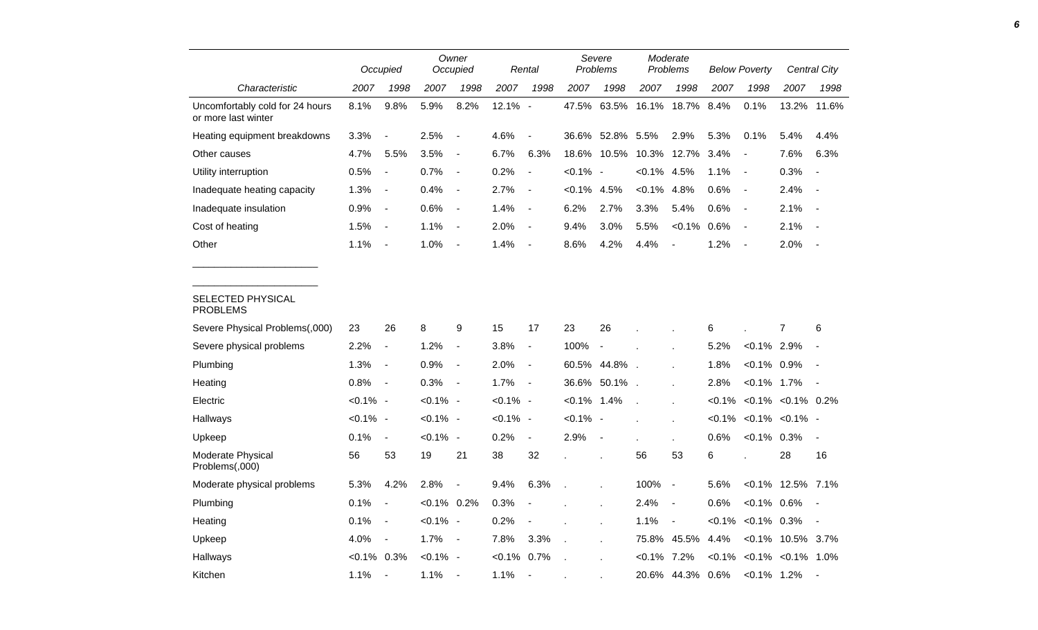|                                                        | Occupied    |                              |                | Owner<br>Occupied            |                | Rental                   |           | Severe<br>Problems       |           | Moderate<br>Problems     | <b>Below Poverty</b> |                          |                          | <b>Central City</b>      |
|--------------------------------------------------------|-------------|------------------------------|----------------|------------------------------|----------------|--------------------------|-----------|--------------------------|-----------|--------------------------|----------------------|--------------------------|--------------------------|--------------------------|
| Characteristic                                         | 2007        | 1998                         | 2007           | 1998                         | 2007           | 1998                     | 2007      | 1998                     | 2007      | 1998                     | 2007                 | 1998                     | 2007                     | 1998                     |
| Uncomfortably cold for 24 hours<br>or more last winter | 8.1%        | 9.8%                         | 5.9%           | 8.2%                         | 12.1% -        |                          | 47.5%     | 63.5%                    | 16.1%     | 18.7%                    | 8.4%                 | 0.1%                     | 13.2%                    | 11.6%                    |
| Heating equipment breakdowns                           | 3.3%        | $\overline{\phantom{a}}$     | 2.5%           | $\overline{\phantom{a}}$     | 4.6%           |                          | 36.6%     | 52.8%                    | 5.5%      | 2.9%                     | 5.3%                 | 0.1%                     | 5.4%                     | 4.4%                     |
| Other causes                                           | 4.7%        | 5.5%                         | 3.5%           | $\overline{\phantom{a}}$     | 6.7%           | 6.3%                     | 18.6%     | 10.5%                    | 10.3%     | 12.7%                    | 3.4%                 |                          | 7.6%                     | 6.3%                     |
| Utility interruption                                   | 0.5%        | $\qquad \qquad \blacksquare$ | 0.7%           | $\blacksquare$               | 0.2%           | $\overline{\phantom{a}}$ | $< 0.1\%$ | $\overline{\phantom{a}}$ | $< 0.1\%$ | 4.5%                     | 1.1%                 | $\overline{\phantom{a}}$ | 0.3%                     | $\overline{\phantom{a}}$ |
| Inadequate heating capacity                            | 1.3%        | $\overline{\phantom{a}}$     | 0.4%           | $\overline{\phantom{a}}$     | 2.7%           | $\overline{\phantom{a}}$ | <0.1%     | 4.5%                     | $< 0.1\%$ | 4.8%                     | 0.6%                 | $\overline{\phantom{a}}$ | 2.4%                     | $\overline{\phantom{a}}$ |
| Inadequate insulation                                  | 0.9%        | $\blacksquare$               | 0.6%           | $\blacksquare$               | 1.4%           | $\overline{\phantom{a}}$ | 6.2%      | 2.7%                     | 3.3%      | 5.4%                     | 0.6%                 | $\overline{\phantom{a}}$ | 2.1%                     | $\overline{\phantom{a}}$ |
| Cost of heating                                        | 1.5%        | $\overline{\phantom{a}}$     | 1.1%           | $\overline{\phantom{a}}$     | 2.0%           | $\overline{\phantom{a}}$ | 9.4%      | 3.0%                     | 5.5%      | $< 0.1\%$                | 0.6%                 | $\overline{\phantom{a}}$ | 2.1%                     |                          |
| Other                                                  | 1.1%        | $\overline{a}$               | 1.0%           | $\overline{\phantom{a}}$     | 1.4%           | $\blacksquare$           | 8.6%      | 4.2%                     | 4.4%      | $\blacksquare$           | 1.2%                 | $\blacksquare$           | 2.0%                     | $\overline{\phantom{a}}$ |
| <b>SELECTED PHYSICAL</b><br><b>PROBLEMS</b>            |             |                              |                |                              |                |                          |           |                          |           |                          |                      |                          |                          |                          |
| Severe Physical Problems(,000)                         | 23          | 26                           | 8              | 9                            | 15             | 17                       | 23        | 26                       |           |                          | 6                    |                          | 7                        | 6                        |
| Severe physical problems                               | 2.2%        | $\blacksquare$               | 1.2%           | $\qquad \qquad \blacksquare$ | 3.8%           | $\overline{\phantom{a}}$ | 100%      | $\overline{\phantom{a}}$ |           |                          | 5.2%                 | $< 0.1\%$ 2.9%           |                          |                          |
| Plumbing                                               | 1.3%        | $\overline{\phantom{a}}$     | 0.9%           | $\overline{\phantom{a}}$     | 2.0%           | $\overline{\phantom{a}}$ | 60.5%     | 44.8%                    |           |                          | 1.8%                 | $< 0.1\%$                | 0.9%                     |                          |
| Heating                                                | 0.8%        | $\qquad \qquad \blacksquare$ | 0.3%           | $\overline{\phantom{a}}$     | 1.7%           | $\blacksquare$           | 36.6%     | 50.1%.                   |           |                          | 2.8%                 | $< 0.1\%$                | 1.7%                     |                          |
| Electric                                               | $< 0.1\%$ - |                              | $< 0.1\%$ -    |                              | $< 0.1\%$ -    |                          | $< 0.1\%$ | 1.4%                     |           |                          | $< 0.1\%$            |                          | $< 0.1\%$ $< 0.1\%$ 0.2% |                          |
| Hallways                                               | $< 0.1\%$ - |                              | $< 0.1\%$ -    |                              | $< 0.1\%$ -    |                          | $< 0.1\%$ | $\overline{\phantom{a}}$ |           | ×                        | $< 0.1\%$            |                          | $< 0.1\% < 0.1\%$        |                          |
| Upkeep                                                 | 0.1%        | $\blacksquare$               | $< 0.1\%$ -    |                              | 0.2%           | $\blacksquare$           | 2.9%      |                          |           |                          | 0.6%                 | $< 0.1\%$ 0.3%           |                          | $\overline{\phantom{a}}$ |
| Moderate Physical<br>Problems(,000)                    | 56          | 53                           | 19             | 21                           | 38             | 32                       |           |                          | 56        | 53                       | 6                    |                          | 28                       | 16                       |
| Moderate physical problems                             | 5.3%        | 4.2%                         | 2.8%           |                              | 9.4%           | 6.3%                     |           | ä,                       | 100%      | $\blacksquare$           | 5.6%                 |                          | <0.1% 12.5% 7.1%         |                          |
| Plumbing                                               | 0.1%        | $\overline{\phantom{a}}$     | $< 0.1\%$ 0.2% |                              | 0.3%           |                          |           | ä,                       | 2.4%      | $\overline{\phantom{a}}$ | 0.6%                 | $< 0.1\%$ 0.6%           |                          |                          |
| Heating                                                | 0.1%        | $\overline{\phantom{a}}$     | $< 0.1\%$ -    |                              | 0.2%           |                          |           | ×.                       | 1.1%      | $\overline{\phantom{a}}$ | $< 0.1\%$            | $< 0.1\%$ 0.3%           |                          | $\overline{\phantom{a}}$ |
| Upkeep                                                 | 4.0%        | $\overline{\phantom{a}}$     | 1.7%           | $\blacksquare$               | 7.8%           | 3.3%                     |           |                          | 75.8%     | 45.5%                    | 4.4%                 | $< 0.1\%$                | 10.5% 3.7%               |                          |
| Hallways                                               | <0.1%       | 0.3%                         | $< 0.1\%$ -    |                              | $< 0.1\%$ 0.7% |                          |           |                          | $< 0.1\%$ | 7.2%                     | $< 0.1\%$            |                          | $< 0.1\%$ $< 0.1\%$ 1.0% |                          |
| Kitchen                                                | 1.1%        | $\overline{\phantom{a}}$     | 1.1%           |                              | 1.1%           |                          |           |                          | 20.6%     | 44.3%                    | 0.6%                 | $< 0.1\%$ 1.2%           |                          |                          |